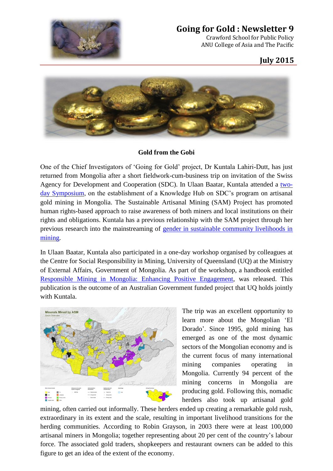

## **Going for Gold : Newsletter 9**

Crawford School for Public Policy ANU College of Asia and The Pacific

## **July 2015**



## **Gold from the Gobi**

One of the Chief Investigators of 'Going for Gold' project, Dr Kuntala Lahiri-Dutt, has just returned from Mongolia after a short fieldwork-cum-business trip on invitation of the Swiss Agency for Development and Cooperation (SDC). In Ulaan Baatar, Kuntala attended a [two](http://www.sam.mn/news_en.php?title=International-Symposium-held-in-Ulaanbaatar-to-discuss-the-establishment-of-Knowledge-Hub-on-Artisanal-and-Small-scale-Mining)[day Symposium,](http://www.sam.mn/news_en.php?title=International-Symposium-held-in-Ulaanbaatar-to-discuss-the-establishment-of-Knowledge-Hub-on-Artisanal-and-Small-scale-Mining) on the establishment of a Knowledge Hub on SDC's program on artisanal gold mining in Mongolia. The Sustainable Artisanal Mining (SAM) Project has promoted human rights-based approach to raise awareness of both miners and local institutions on their rights and obligations. Kuntala has a previous relationship with the SAM project through her previous research into the mainstreaming of [gender in sustainable community livelihoods in](http://press.anu.edu.au/titles/asia-pacific-environment-monographs/gendering_field_citation/)  [mining.](http://press.anu.edu.au/titles/asia-pacific-environment-monographs/gendering_field_citation/)

In Ulaan Baatar, Kuntala also participated in a one-day workshop organised by colleagues at the Centre for Social Responsibility in Mining, University of Queensland (UQ) at the Ministry of External Affairs, Government of Mongolia. As part of the workshop, a handbook entitled [Responsible Mining in Mongolia: Enhancing Positive Engagement,](https://www.csrm.uq.edu.au/publications/responsible-mining-in-mongolia-enhancing-positive-engagement) was released. This publication is the outcome of an Australian Government funded project that UQ holds jointly with Kuntala.



The trip was an excellent opportunity to learn more about the Mongolian 'El Dorado'. Since 1995, gold mining has emerged as one of the most dynamic sectors of the Mongolian economy and is the current focus of many international mining companies operating in Mongolia. Currently 94 percent of the mining concerns in Mongolia are producing gold. Following this, nomadic herders also took up artisanal gold

mining, often carried out informally. These herders ended up creating a remarkable gold rush, extraordinary in its extent and the scale, resulting in important livelihood transitions for the herding communities. According to Robin Grayson, in 2003 there were at least 100,000 artisanal miners in Mongolia; together representing about 20 per cent of the country's labour force. The associated gold traders, shopkeepers and restaurant owners can be added to this figure to get an idea of the extent of the economy.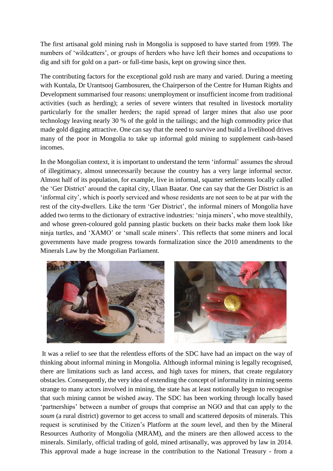The first artisanal gold mining rush in Mongolia is supposed to have started from 1999. The numbers of 'wildcatters', or groups of herders who have left their homes and occupations to dig and sift for gold on a part- or full-time basis, kept on growing since then.

The contributing factors for the exceptional gold rush are many and varied. During a meeting with Kuntala, Dr Urantsooj Gambosuren, the Chairperson of the Centre for Human Rights and Development summarised four reasons: unemployment or insufficient income from traditional activities (such as herding); a series of severe winters that resulted in livestock mortality particularly for the smaller herders; the rapid spread of larger mines that also use poor technology leaving nearly 30 % of the gold in the tailings; and the high commodity price that made gold digging attractive. One can say that the need to survive and build a livelihood drives many of the poor in Mongolia to take up informal gold mining to supplement cash-based incomes.

In the Mongolian context, it is important to understand the term 'informal' assumes the shroud of illegitimacy, almost unnecessarily because the country has a very large informal sector. Almost half of its population, for example, live in informal, squatter settlements locally called the 'Ger District' around the capital city, Ulaan Baatar. One can say that the Ger District is an 'informal city', which is poorly serviced and whose residents are not seen to be at par with the rest of the city-dwellers. Like the term 'Ger District', the informal miners of Mongolia have added two terms to the dictionary of extractive industries: 'ninja miners', who move stealthily, and whose green-coloured gold panning plastic buckets on their backs make them look like ninja turtles, and 'XAMO' or 'small scale miners'. This reflects that some miners and local governments have made progress towards formalization since the 2010 amendments to the Minerals Law by the Mongolian Parliament.



It was a relief to see that the relentless efforts of the SDC have had an impact on the way of thinking about informal mining in Mongolia. Although informal mining is legally recognised, there are limitations such as land access, and high taxes for miners, that create regulatory obstacles. Consequently, the very idea of extending the concept of informality in mining seems strange to many actors involved in mining, the state has at least notionally begun to recognise that such mining cannot be wished away. The SDC has been working through locally based 'partnerships' between a number of groups that comprise an NGO and that can apply to the *soum* (a rural district) governor to get access to small and scattered deposits of minerals. This request is scrutinised by the Citizen's Platform at the *soum* level, and then by the Mineral Resources Authority of Mongolia (MRAM), and the miners are then allowed access to the minerals. Similarly, official trading of gold, mined artisanally, was approved by law in 2014. This approval made a huge increase in the contribution to the National Treasury - from a